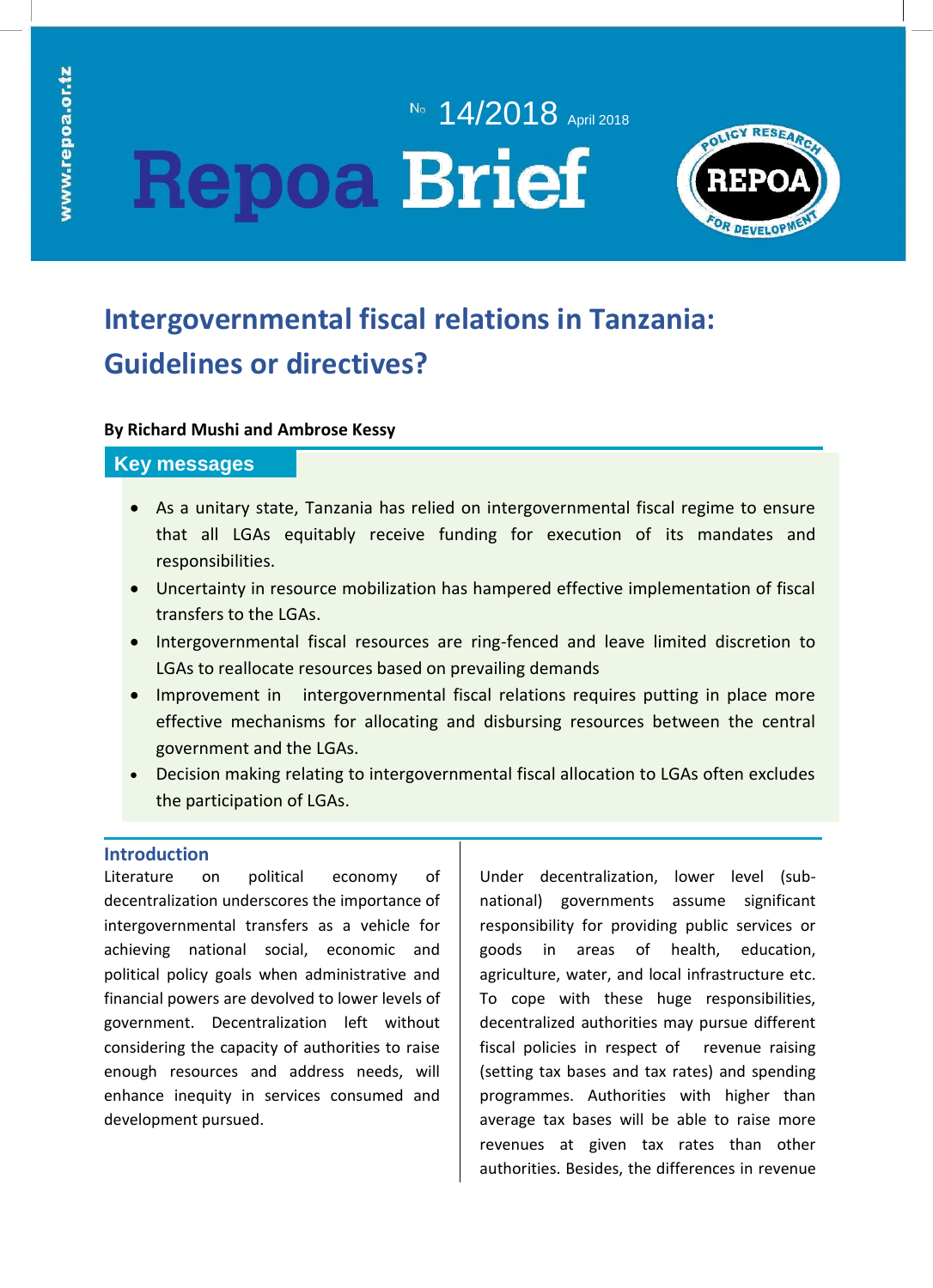# No. **14/2018** April 2018 **Repoa Brief**



# **Intergovernmental fiscal relations in Tanzania: Guidelines or directives?**

# **By Richard Mushi and Ambrose Kessy**

# **Key messages**

- As a unitary state, Tanzania has relied on intergovernmental fiscal regime to ensure that all LGAs equitably receive funding for execution of its mandates and responsibilities.
- Uncertainty in resource mobilization has hampered effective implementation of fiscal transfers to the LGAs.
- Intergovernmental fiscal resources are ring-fenced and leave limited discretion to LGAs to reallocate resources based on prevailing demands
- Improvement in intergovernmental fiscal relations requires putting in place more effective mechanisms for allocating and disbursing resources between the central government and the LGAs.
- Decision making relating to intergovernmental fiscal allocation to LGAs often excludes the participation of LGAs.

# **Introduction**

Literature on political economy of decentralization underscores the importance of intergovernmental transfers as a vehicle for achieving national social, economic and political policy goals when administrative and financial powers are devolved to lower levels of government. Decentralization left without considering the capacity of authorities to raise enough resources and address needs, will enhance inequity in services consumed and development pursued.

Under decentralization, lower level (subnational) governments assume significant responsibility for providing public services or goods in areas of health, education, agriculture, water, and local infrastructure etc. To cope with these huge responsibilities, decentralized authorities may pursue different fiscal policies in respect of revenue raising (setting tax bases and tax rates) and spending programmes. Authorities with higher than average tax bases will be able to raise more revenues at given tax rates than other authorities. Besides, the differences in revenue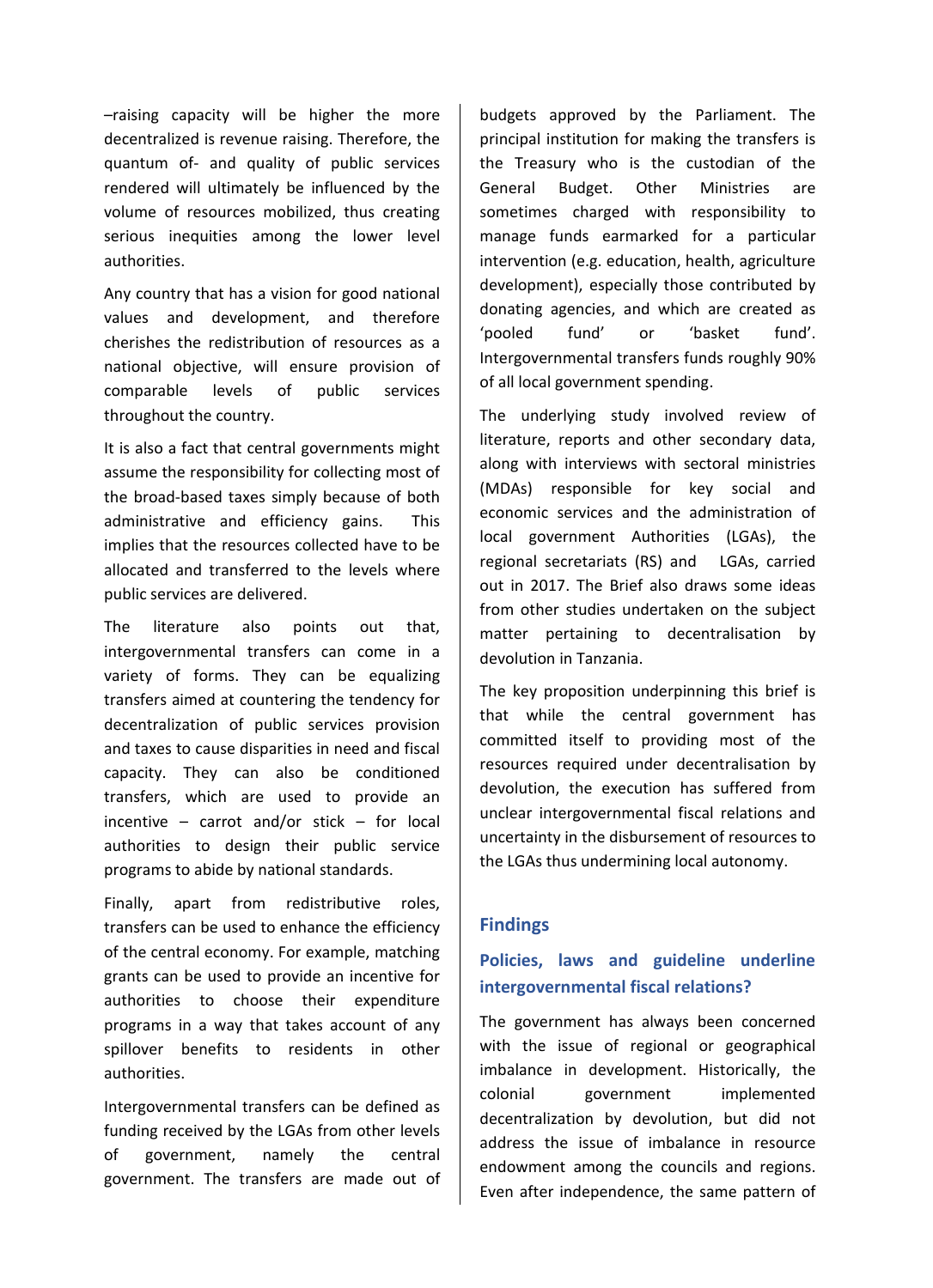–raising capacity will be higher the more decentralized is revenue raising. Therefore, the quantum of- and quality of public services rendered will ultimately be influenced by the volume of resources mobilized, thus creating serious inequities among the lower level authorities.

Any country that has a vision for good national values and development, and therefore cherishes the redistribution of resources as a national objective, will ensure provision of comparable levels of public services throughout the country.

It is also a fact that central governments might assume the responsibility for collecting most of the broad-based taxes simply because of both administrative and efficiency gains. This implies that the resources collected have to be allocated and transferred to the levels where public services are delivered.

The literature also points out that, intergovernmental transfers can come in a variety of forms. They can be equalizing transfers aimed at countering the tendency for decentralization of public services provision and taxes to cause disparities in need and fiscal capacity. They can also be conditioned transfers, which are used to provide an incentive – carrot and/or stick – for local authorities to design their public service programs to abide by national standards.

Finally, apart from redistributive roles, transfers can be used to enhance the efficiency of the central economy. For example, matching grants can be used to provide an incentive for authorities to choose their expenditure programs in a way that takes account of any spillover benefits to residents in other authorities.

Intergovernmental transfers can be defined as funding received by the LGAs from other levels of government, namely the central government. The transfers are made out of

budgets approved by the Parliament. The principal institution for making the transfers is the Treasury who is the custodian of the General Budget. Other Ministries are sometimes charged with responsibility to manage funds earmarked for a particular intervention (e.g. education, health, agriculture development), especially those contributed by donating agencies, and which are created as 'pooled fund' or 'basket fund'. Intergovernmental transfers funds roughly 90% of all local government spending.

The underlying study involved review of literature, reports and other secondary data, along with interviews with sectoral ministries (MDAs) responsible for key social and economic services and the administration of local government Authorities (LGAs), the regional secretariats (RS) and LGAs, carried out in 2017. The Brief also draws some ideas from other studies undertaken on the subject matter pertaining to decentralisation by devolution in Tanzania.

The key proposition underpinning this brief is that while the central government has committed itself to providing most of the resources required under decentralisation by devolution, the execution has suffered from unclear intergovernmental fiscal relations and uncertainty in the disbursement of resources to the LGAs thus undermining local autonomy.

# **Findings**

# **Policies, laws and guideline underline intergovernmental fiscal relations?**

The government has always been concerned with the issue of regional or geographical imbalance in development. Historically, the colonial government implemented decentralization by devolution, but did not address the issue of imbalance in resource endowment among the councils and regions. Even after independence, the same pattern of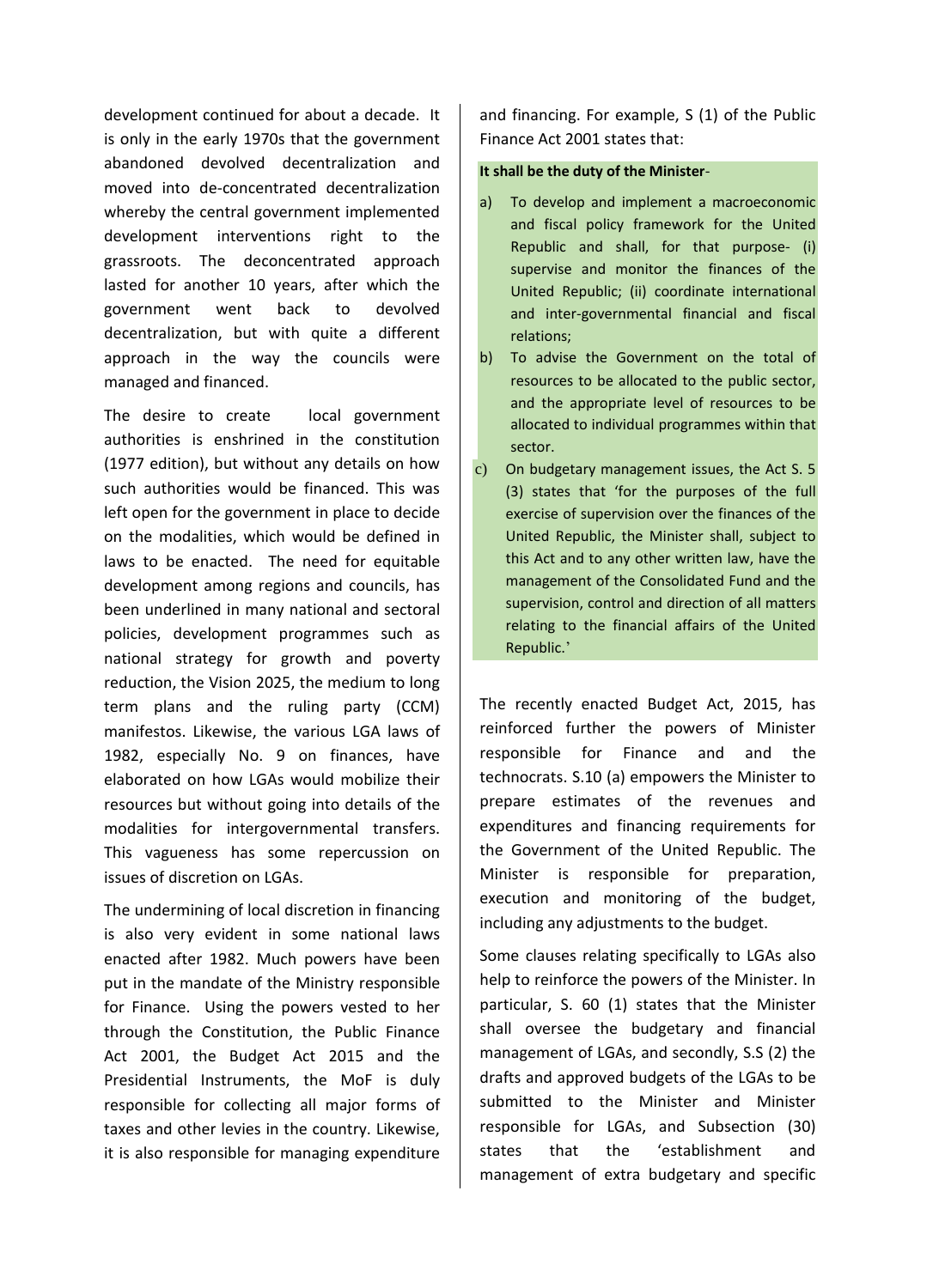development continued for about a decade. It is only in the early 1970s that the government abandoned devolved decentralization and moved into de-concentrated decentralization whereby the central government implemented development interventions right to the grassroots. The deconcentrated approach lasted for another 10 years, after which the government went back to devolved decentralization, but with quite a different approach in the way the councils were managed and financed.

The desire to create local government authorities is enshrined in the constitution (1977 edition), but without any details on how such authorities would be financed. This was left open for the government in place to decide on the modalities, which would be defined in laws to be enacted. The need for equitable development among regions and councils, has been underlined in many national and sectoral policies, development programmes such as national strategy for growth and poverty reduction, the Vision 2025, the medium to long term plans and the ruling party (CCM) manifestos. Likewise, the various LGA laws of 1982, especially No. 9 on finances, have elaborated on how LGAs would mobilize their resources but without going into details of the modalities for intergovernmental transfers. This vagueness has some repercussion on issues of discretion on LGAs.

The undermining of local discretion in financing is also very evident in some national laws enacted after 1982. Much powers have been put in the mandate of the Ministry responsible for Finance. Using the powers vested to her through the Constitution, the Public Finance Act 2001, the Budget Act 2015 and the Presidential Instruments, the MoF is duly responsible for collecting all major forms of taxes and other levies in the country. Likewise, it is also responsible for managing expenditure

and financing. For example, S (1) of the Public Finance Act 2001 states that:

## **It shall be the duty of the Minister**-

- a) To develop and implement a macroeconomic and fiscal policy framework for the United Republic and shall, for that purpose- (i) supervise and monitor the finances of the United Republic; (ii) coordinate international and inter-governmental financial and fiscal relations;
- b) To advise the Government on the total of resources to be allocated to the public sector, and the appropriate level of resources to be allocated to individual programmes within that sector.
- c) On budgetary management issues, the Act S. 5 (3) states that 'for the purposes of the full exercise of supervision over the finances of the United Republic, the Minister shall, subject to this Act and to any other written law, have the management of the Consolidated Fund and the supervision, control and direction of all matters relating to the financial affairs of the United Republic.'

The recently enacted Budget Act, 2015, has reinforced further the powers of Minister responsible for Finance and and the technocrats. S.10 (a) empowers the Minister to prepare estimates of the revenues and expenditures and financing requirements for the Government of the United Republic. The Minister is responsible for preparation, execution and monitoring of the budget, including any adjustments to the budget.

Some clauses relating specifically to LGAs also help to reinforce the powers of the Minister. In particular, S. 60 (1) states that the Minister shall oversee the budgetary and financial management of LGAs, and secondly, S.S (2) the drafts and approved budgets of the LGAs to be submitted to the Minister and Minister responsible for LGAs, and Subsection (30) states that the 'establishment and management of extra budgetary and specific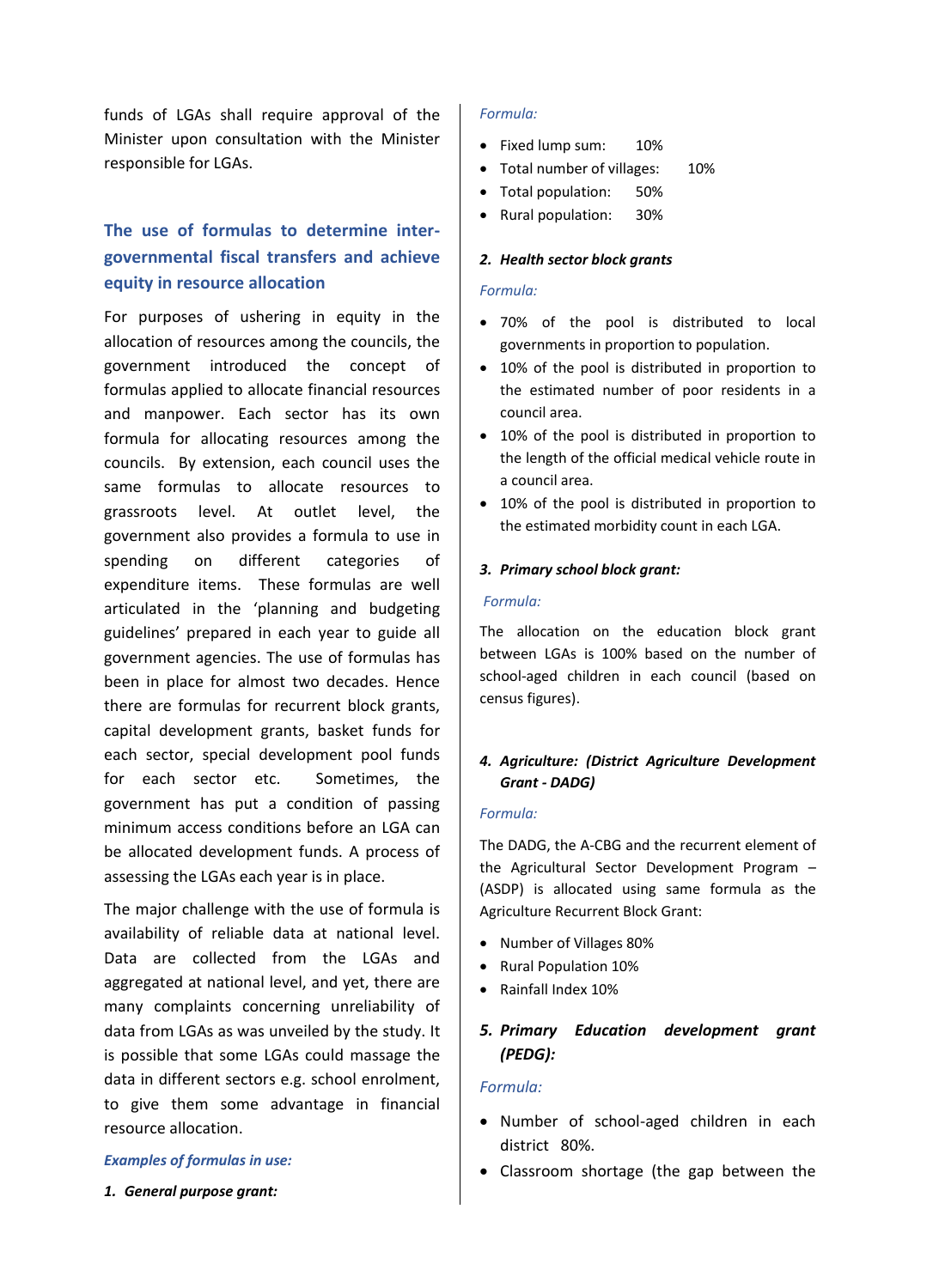funds of LGAs shall require approval of the Minister upon consultation with the Minister responsible for LGAs.

# **The use of formulas to determine intergovernmental fiscal transfers and achieve equity in resource allocation**

For purposes of ushering in equity in the allocation of resources among the councils, the government introduced the concept of formulas applied to allocate financial resources and manpower. Each sector has its own formula for allocating resources among the councils. By extension, each council uses the same formulas to allocate resources to grassroots level. At outlet level, the government also provides a formula to use in spending on different categories of expenditure items. These formulas are well articulated in the 'planning and budgeting guidelines' prepared in each year to guide all government agencies. The use of formulas has been in place for almost two decades. Hence there are formulas for recurrent block grants, capital development grants, basket funds for each sector, special development pool funds for each sector etc. Sometimes, the government has put a condition of passing minimum access conditions before an LGA can be allocated development funds. A process of assessing the LGAs each year is in place.

The major challenge with the use of formula is availability of reliable data at national level. Data are collected from the LGAs and aggregated at national level, and yet, there are many complaints concerning unreliability of data from LGAs as was unveiled by the study. It is possible that some LGAs could massage the data in different sectors e.g. school enrolment, to give them some advantage in financial resource allocation.

#### *Examples of formulas in use:*

*1. General purpose grant:* 

#### *Formula:*

- Fixed lump sum: 10%
- Total number of villages: 10%
- Total population: 50%
- Rural population: 30%

#### *2. Health sector block grants*

# *Formula:*

- 70% of the pool is distributed to local governments in proportion to population.
- 10% of the pool is distributed in proportion to the estimated number of poor residents in a council area.
- 10% of the pool is distributed in proportion to the length of the official medical vehicle route in a council area.
- 10% of the pool is distributed in proportion to the estimated morbidity count in each LGA.

#### *3. Primary school block grant:*

#### *Formula:*

The allocation on the education block grant between LGAs is 100% based on the number of school-aged children in each council (based on census figures).

# *4. Agriculture: (District Agriculture Development Grant - DADG)*

#### *Formula:*

The DADG, the A-CBG and the recurrent element of the Agricultural Sector Development Program – (ASDP) is allocated using same formula as the Agriculture Recurrent Block Grant:

- Number of Villages 80%
- Rural Population 10%
- Rainfall Index 10%

# *5. Primary Education development grant (PEDG):*

# *Formula:*

- Number of school-aged children in each district 80%.
- Classroom shortage (the gap between the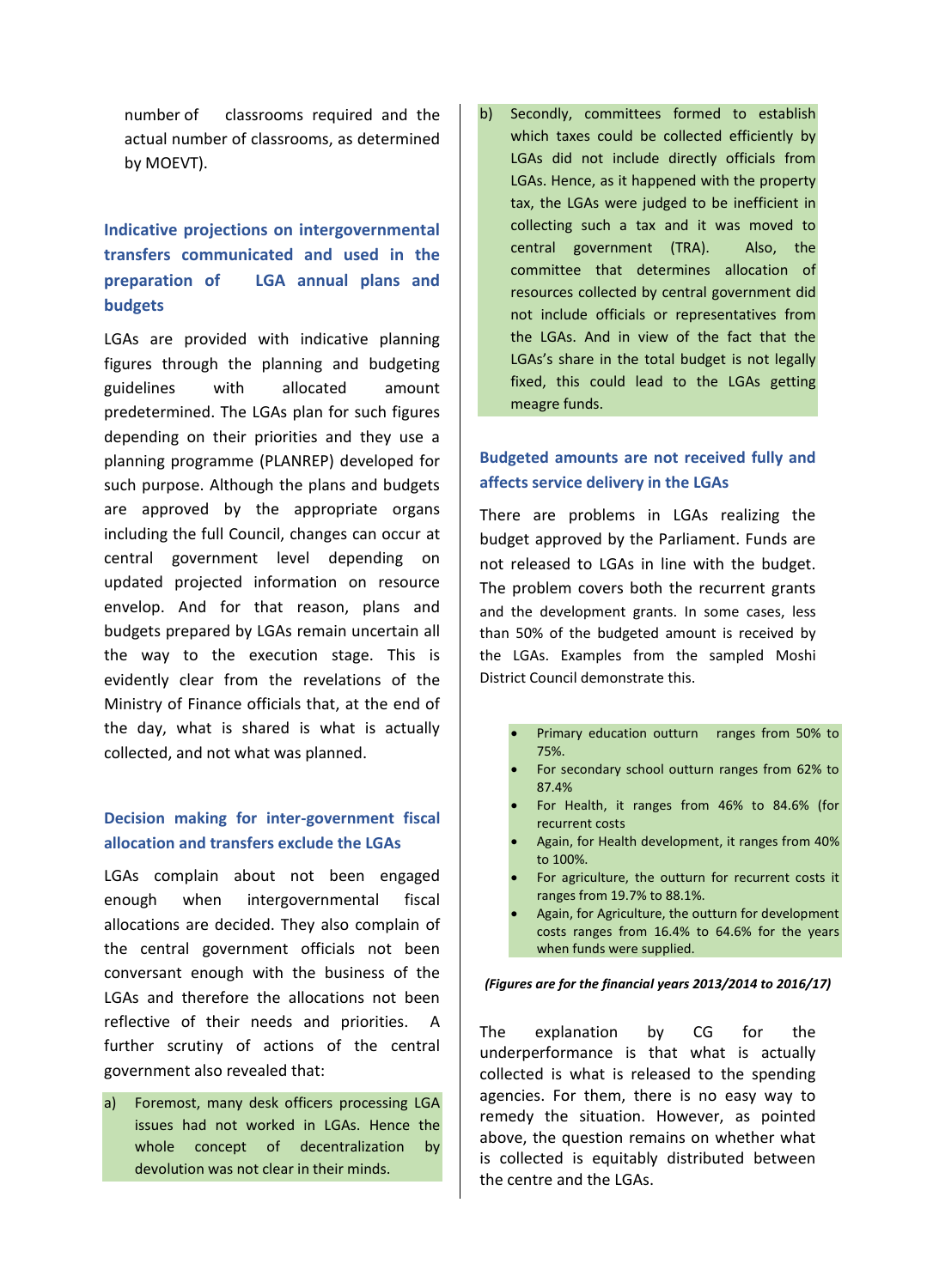number of classrooms required and the actual number of classrooms, as determined by MOEVT).

# **Indicative projections on intergovernmental transfers communicated and used in the preparation of LGA annual plans and budgets**

LGAs are provided with indicative planning figures through the planning and budgeting guidelines with allocated amount predetermined. The LGAs plan for such figures depending on their priorities and they use a planning programme (PLANREP) developed for such purpose. Although the plans and budgets are approved by the appropriate organs including the full Council, changes can occur at central government level depending on updated projected information on resource envelop. And for that reason, plans and budgets prepared by LGAs remain uncertain all the way to the execution stage. This is evidently clear from the revelations of the Ministry of Finance officials that, at the end of the day, what is shared is what is actually collected, and not what was planned.

# **Decision making for inter-government fiscal allocation and transfers exclude the LGAs**

LGAs complain about not been engaged enough when intergovernmental fiscal allocations are decided. They also complain of the central government officials not been conversant enough with the business of the LGAs and therefore the allocations not been reflective of their needs and priorities. A further scrutiny of actions of the central government also revealed that:

a) Foremost, many desk officers processing LGA issues had not worked in LGAs. Hence the whole concept of decentralization by devolution was not clear in their minds.

b) Secondly, committees formed to establish which taxes could be collected efficiently by LGAs did not include directly officials from LGAs. Hence, as it happened with the property tax, the LGAs were judged to be inefficient in collecting such a tax and it was moved to central government (TRA). Also, the committee that determines allocation of resources collected by central government did not include officials or representatives from the LGAs. And in view of the fact that the LGAs's share in the total budget is not legally fixed, this could lead to the LGAs getting meagre funds.

# **Budgeted amounts are not received fully and affects service delivery in the LGAs**

There are problems in LGAs realizing the budget approved by the Parliament. Funds are not released to LGAs in line with the budget. The problem covers both the recurrent grants and the development grants. In some cases, less than 50% of the budgeted amount is received by the LGAs. Examples from the sampled Moshi District Council demonstrate this.

- Primary education outturn ranges from 50% to 75%.
- For secondary school outturn ranges from 62% to 87.4%
- For Health, it ranges from 46% to 84.6% (for recurrent costs
- Again, for Health development, it ranges from 40% to 100%.
- For agriculture, the outturn for recurrent costs it ranges from 19.7% to 88.1%.
- Again, for Agriculture, the outturn for development costs ranges from 16.4% to 64.6% for the years when funds were supplied.

#### *(Figures are for the financial years 2013/2014 to 2016/17)*

The explanation by CG for the underperformance is that what is actually collected is what is released to the spending agencies. For them, there is no easy way to remedy the situation. However, as pointed above, the question remains on whether what is collected is equitably distributed between the centre and the LGAs.